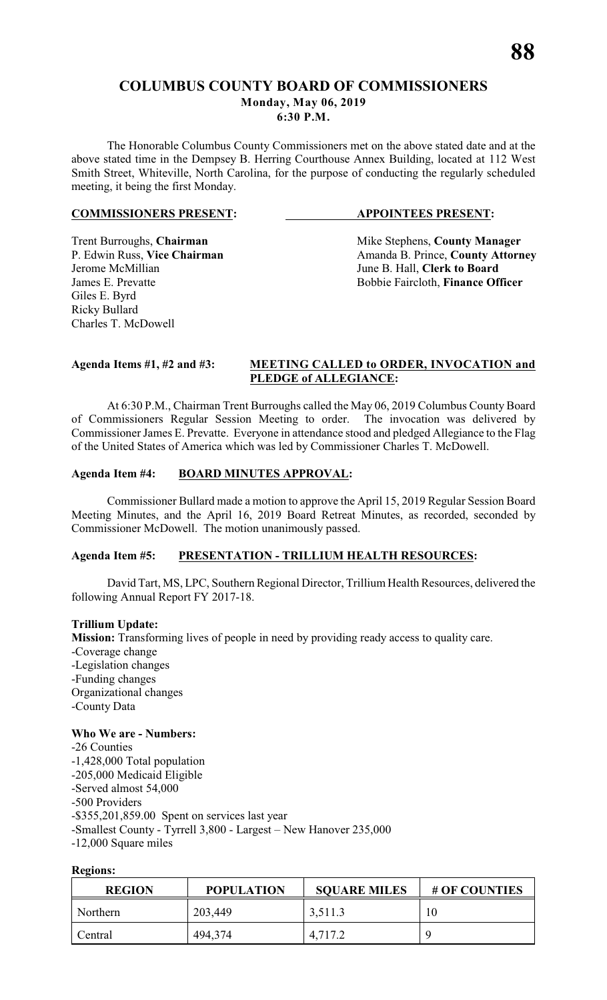# **COLUMBUS COUNTY BOARD OF COMMISSIONERS**

**Monday, May 06, 2019**

**6:30 P.M.**

The Honorable Columbus County Commissioners met on the above stated date and at the above stated time in the Dempsey B. Herring Courthouse Annex Building, located at 112 West Smith Street, Whiteville, North Carolina, for the purpose of conducting the regularly scheduled meeting, it being the first Monday.

# **COMMISSIONERS PRESENT: APPOINTEES PRESENT:**

Giles E. Byrd Ricky Bullard Charles T. McDowell

Trent Burroughs, **Chairman** Mike Stephens, **County Manager** P. Edwin Russ, Vice Chairman Manager Amanda B. Prince, **County Attorn** P. Edwin Russ, **Vice Chairman** Amanda B. Prince, **County Attorney**<br>Jerome McMillian June B. Hall, **Clerk to Board** June B. Hall, **Clerk to Board** James E. Prevatte **Bobbie Faircloth**, **Finance Officer** 

# **Agenda Items #1, #2 and #3: MEETING CALLED to ORDER, INVOCATION and PLEDGE of ALLEGIANCE:**

At 6:30 P.M., Chairman Trent Burroughs called the May 06, 2019 Columbus County Board of Commissioners Regular Session Meeting to order. The invocation was delivered by Commissioner James E. Prevatte. Everyone in attendance stood and pledged Allegiance to the Flag of the United States of America which was led by Commissioner Charles T. McDowell.

# **Agenda Item #4: BOARD MINUTES APPROVAL:**

Commissioner Bullard made a motion to approve the April 15, 2019 Regular Session Board Meeting Minutes, and the April 16, 2019 Board Retreat Minutes, as recorded, seconded by Commissioner McDowell. The motion unanimously passed.

# **Agenda Item #5: PRESENTATION - TRILLIUM HEALTH RESOURCES:**

David Tart, MS, LPC, Southern Regional Director, Trillium Health Resources, delivered the following Annual Report FY 2017-18.

# **Trillium Update:**

**Mission:** Transforming lives of people in need by providing ready access to quality care. -Coverage change -Legislation changes -Funding changes Organizational changes -County Data

# **Who We are - Numbers:**

-26 Counties -1,428,000 Total population -205,000 Medicaid Eligible -Served almost 54,000 -500 Providers -\$355,201,859.00 Spent on services last year -Smallest County - Tyrrell 3,800 - Largest – New Hanover 235,000 -12,000 Square miles

# **Regions:**

| <b>REGION</b> | <b>POPULATION</b> | <b>SQUARE MILES</b> | # OF COUNTIES |
|---------------|-------------------|---------------------|---------------|
| Northern      | 203,449           | 3,511.3             | 10            |
| Central       | 494,374           | 4,717.2             |               |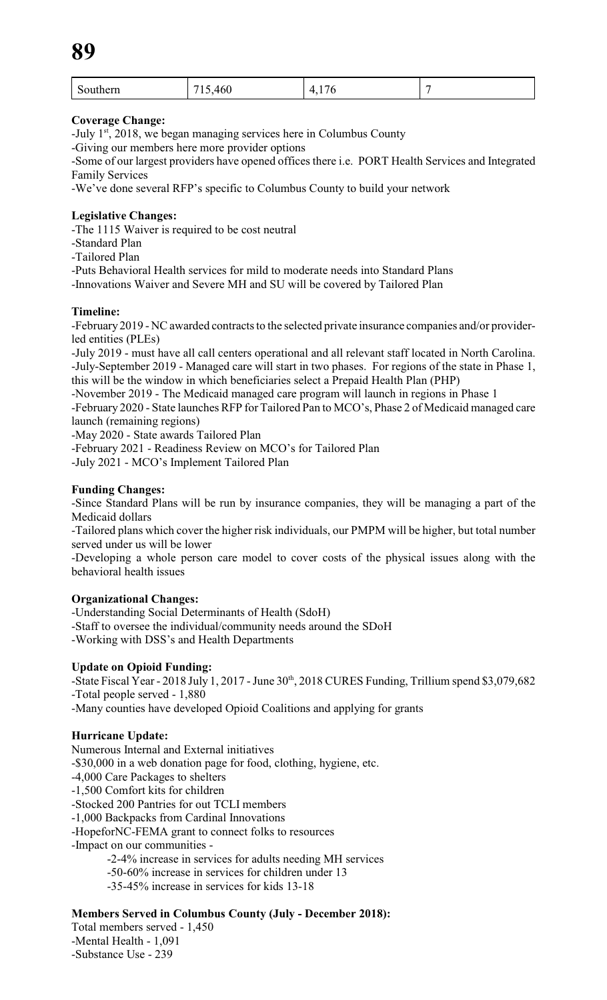| $\mathbf C$<br>Southern | $\epsilon$<br>- -<br>460<br>-<br>__<br>___ | $\overline{\phantom{a}}$<br>71<br>. .<br>_<br>╰<br>. |  |
|-------------------------|--------------------------------------------|------------------------------------------------------|--|
|-------------------------|--------------------------------------------|------------------------------------------------------|--|

# **Coverage Change:**

-July  $1<sup>st</sup>$ , 2018, we began managing services here in Columbus County

-Giving our members here more provider options

-Some of our largest providers have opened offices there i.e. PORT Health Services and Integrated Family Services

-We've done several RFP's specific to Columbus County to build your network

# **Legislative Changes:**

-The 1115 Waiver is required to be cost neutral

-Standard Plan

-Tailored Plan

-Puts Behavioral Health services for mild to moderate needs into Standard Plans

-Innovations Waiver and Severe MH and SU will be covered by Tailored Plan

# **Timeline:**

-February 2019 - NC awarded contracts to the selected private insurance companies and/or providerled entities (PLEs)

-July 2019 - must have all call centers operational and all relevant staff located in North Carolina. -July-September 2019 - Managed care will start in two phases. For regions of the state in Phase 1, this will be the window in which beneficiaries select a Prepaid Health Plan (PHP)

-November 2019 - The Medicaid managed care program will launch in regions in Phase 1

-February 2020 - State launches RFP for Tailored Pan to MCO's, Phase 2 of Medicaid managed care launch (remaining regions)

-May 2020 - State awards Tailored Plan

-February 2021 - Readiness Review on MCO's for Tailored Plan

-July 2021 - MCO's Implement Tailored Plan

# **Funding Changes:**

-Since Standard Plans will be run by insurance companies, they will be managing a part of the Medicaid dollars

-Tailored plans which cover the higher risk individuals, our PMPM will be higher, but total number served under us will be lower

-Developing a whole person care model to cover costs of the physical issues along with the behavioral health issues

# **Organizational Changes:**

-Understanding Social Determinants of Health (SdoH) -Staff to oversee the individual/community needs around the SDoH -Working with DSS's and Health Departments

# **Update on Opioid Funding:**

-State Fiscal Year - 2018 July 1, 2017 - June 30<sup>th</sup>, 2018 CURES Funding, Trillium spend \$3,079,682 -Total people served - 1,880

-Many counties have developed Opioid Coalitions and applying for grants

# **Hurricane Update:**

Numerous Internal and External initiatives -\$30,000 in a web donation page for food, clothing, hygiene, etc. -4,000 Care Packages to shelters -1,500 Comfort kits for children -Stocked 200 Pantries for out TCLI members -1,000 Backpacks from Cardinal Innovations -HopeforNC-FEMA grant to connect folks to resources -Impact on our communities - -2-4% increase in services for adults needing MH services -50-60% increase in services for children under 13 -35-45% increase in services for kids 13-18

# **Members Served in Columbus County (July - December 2018):**

Total members served - 1,450 -Mental Health - 1,091 -Substance Use - 239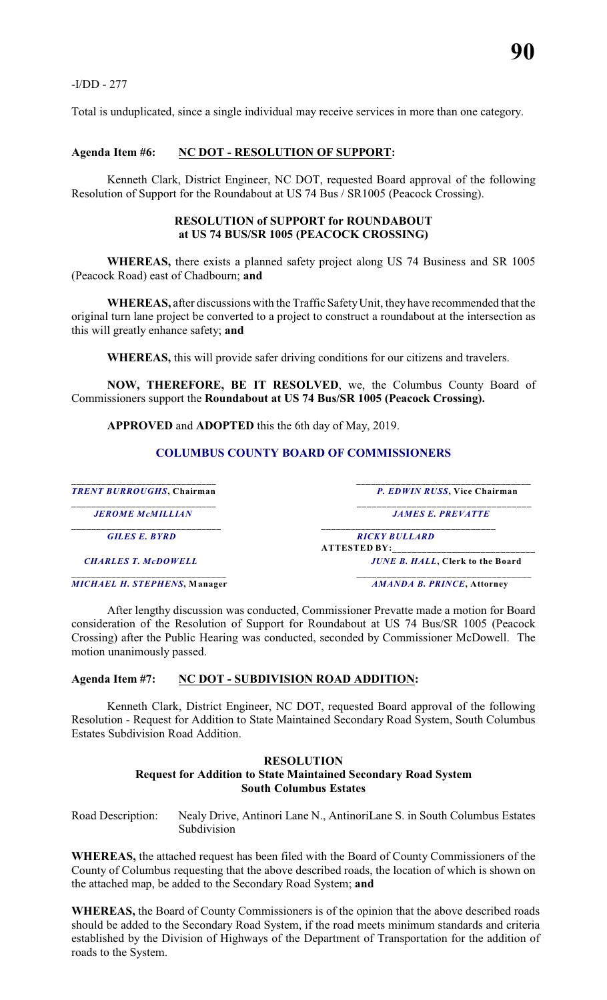-I/DD - 277

Total is unduplicated, since a single individual may receive services in more than one category.

#### **Agenda Item #6: NC DOT - RESOLUTION OF SUPPORT:**

Kenneth Clark, District Engineer, NC DOT, requested Board approval of the following Resolution of Support for the Roundabout at US 74 Bus / SR1005 (Peacock Crossing).

#### **RESOLUTION of SUPPORT for ROUNDABOUT at US 74 BUS/SR 1005 (PEACOCK CROSSING)**

**WHEREAS,** there exists a planned safety project along US 74 Business and SR 1005 (Peacock Road) east of Chadbourn; **and**

**WHEREAS,** after discussions with the Traffic SafetyUnit, they have recommended that the original turn lane project be converted to a project to construct a roundabout at the intersection as this will greatly enhance safety; **and**

**WHEREAS,** this will provide safer driving conditions for our citizens and travelers.

**NOW, THEREFORE, BE IT RESOLVED**, we, the Columbus County Board of Commissioners support the **Roundabout at US 74 Bus/SR 1005 (Peacock Crossing).**

**APPROVED** and **ADOPTED** this the 6th day of May, 2019.

#### **COLUMBUS COUNTY BOARD OF COMMISSIONERS**

| <b>TRENT BURROUGHS, Chairman</b>    | P. EDWIN RUSS, Vice Chairman                |  |
|-------------------------------------|---------------------------------------------|--|
| <b>JEROME McMILLIAN</b>             | <b>JAMES E. PREVATTE</b>                    |  |
| <b>GILES E. BYRD</b>                | <b>RICKY BULLARD</b><br><b>ATTESTED BY:</b> |  |
| <b>CHARLES T. McDOWELL</b>          | <b>JUNE B. HALL, Clerk to the Board</b>     |  |
| <b>MICHAEL H. STEPHENS, Manager</b> | AMANDA B. PRINCE, Attorney                  |  |

After lengthy discussion was conducted, Commissioner Prevatte made a motion for Board consideration of the Resolution of Support for Roundabout at US 74 Bus/SR 1005 (Peacock Crossing) after the Public Hearing was conducted, seconded by Commissioner McDowell. The motion unanimously passed.

#### **Agenda Item #7: NC DOT - SUBDIVISION ROAD ADDITION:**

Kenneth Clark, District Engineer, NC DOT, requested Board approval of the following Resolution - Request for Addition to State Maintained Secondary Road System, South Columbus Estates Subdivision Road Addition.

#### **RESOLUTION Request for Addition to State Maintained Secondary Road System South Columbus Estates**

Road Description: Nealy Drive, Antinori Lane N., AntinoriLane S. in South Columbus Estates Subdivision

**WHEREAS,** the attached request has been filed with the Board of County Commissioners of the County of Columbus requesting that the above described roads, the location of which is shown on the attached map, be added to the Secondary Road System; **and**

**WHEREAS,** the Board of County Commissioners is of the opinion that the above described roads should be added to the Secondary Road System, if the road meets minimum standards and criteria established by the Division of Highways of the Department of Transportation for the addition of roads to the System.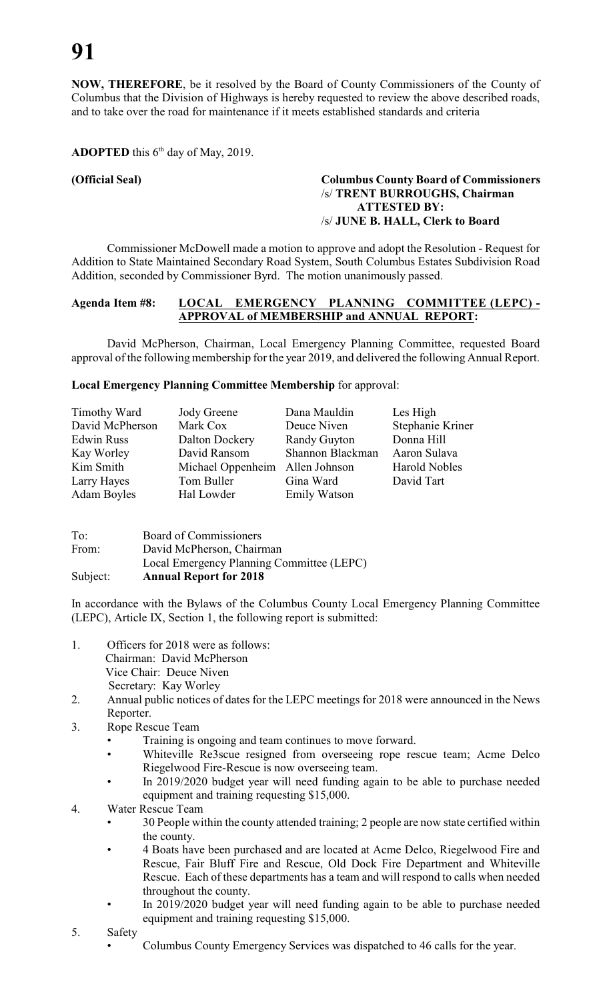**NOW, THEREFORE**, be it resolved by the Board of County Commissioners of the County of Columbus that the Division of Highways is hereby requested to review the above described roads, and to take over the road for maintenance if it meets established standards and criteria

# **ADOPTED** this  $6<sup>th</sup>$  day of May, 2019.

# **(Official Seal) Columbus County Board of Commissioners** /s/ **TRENT BURROUGHS, Chairman ATTESTED BY:** /s/ **JUNE B. HALL, Clerk to Board**

Commissioner McDowell made a motion to approve and adopt the Resolution - Request for Addition to State Maintained Secondary Road System, South Columbus Estates Subdivision Road Addition, seconded by Commissioner Byrd. The motion unanimously passed.

# **Agenda Item #8: LOCAL EMERGENCY PLANNING COMMITTEE (LEPC) - APPROVAL of MEMBERSHIP and ANNUAL REPORT:**

David McPherson, Chairman, Local Emergency Planning Committee, requested Board approval of the following membership for the year 2019, and delivered the following Annual Report.

#### **Local Emergency Planning Committee Membership** for approval:

| Timothy Ward       | <b>Jody Greene</b>              | Dana Mauldin        | Les High             |
|--------------------|---------------------------------|---------------------|----------------------|
| David McPherson    | Mark Cox                        | Deuce Niven         | Stephanie Kriner     |
| <b>Edwin Russ</b>  | Dalton Dockery                  | <b>Randy Guyton</b> | Donna Hill           |
| Kay Worley         | David Ransom                    | Shannon Blackman    | Aaron Sulava         |
| Kim Smith          | Michael Oppenheim Allen Johnson |                     | <b>Harold Nobles</b> |
| Larry Hayes        | Tom Buller                      | Gina Ward           | David Tart           |
| <b>Adam Boyles</b> | Hal Lowder                      | <b>Emily Watson</b> |                      |

| To:      | Board of Commissioners                    |
|----------|-------------------------------------------|
| From:    | David McPherson, Chairman                 |
|          | Local Emergency Planning Committee (LEPC) |
| Subject: | <b>Annual Report for 2018</b>             |

In accordance with the Bylaws of the Columbus County Local Emergency Planning Committee (LEPC), Article IX, Section 1, the following report is submitted:

- 1. Officers for 2018 were as follows: Chairman: David McPherson Vice Chair: Deuce Niven Secretary: Kay Worley
- 2. Annual public notices of dates for the LEPC meetings for 2018 were announced in the News Reporter.
- 3. Rope Rescue Team
	- Training is ongoing and team continues to move forward.
	- Whiteville Re3scue resigned from overseeing rope rescue team; Acme Delco Riegelwood Fire-Rescue is now overseeing team.
	- In 2019/2020 budget year will need funding again to be able to purchase needed equipment and training requesting \$15,000.
- 4. Water Rescue Team
	- 30 People within the county attended training; 2 people are now state certified within the county.
	- 4 Boats have been purchased and are located at Acme Delco, Riegelwood Fire and Rescue, Fair Bluff Fire and Rescue, Old Dock Fire Department and Whiteville Rescue. Each of these departments has a team and will respond to calls when needed throughout the county.
	- In 2019/2020 budget year will need funding again to be able to purchase needed equipment and training requesting \$15,000.
- 5. Safety
	- Columbus County Emergency Services was dispatched to 46 calls for the year.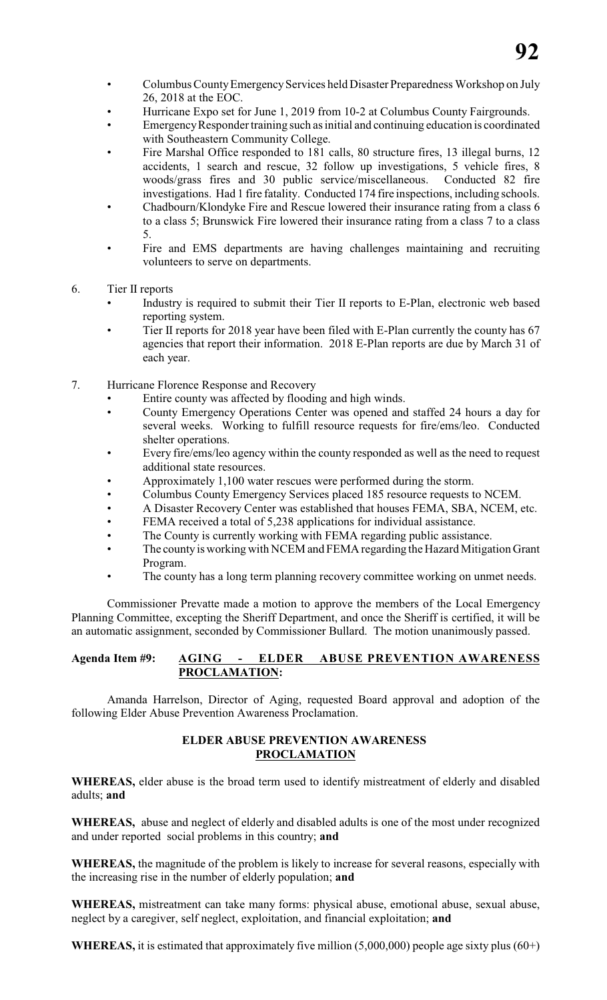- ColumbusCountyEmergencyServices held Disaster Preparedness Workshop on July 26, 2018 at the EOC.
- Hurricane Expo set for June 1, 2019 from 10-2 at Columbus County Fairgrounds.
- Emergency Responder training such as initial and continuing education is coordinated with Southeastern Community College.
- Fire Marshal Office responded to 181 calls, 80 structure fires, 13 illegal burns, 12 accidents, 1 search and rescue, 32 follow up investigations, 5 vehicle fires, 8 woods/grass fires and 30 public service/miscellaneous. Conducted 82 fire investigations. Had 1 fire fatality. Conducted 174 fire inspections, including schools.
- Chadbourn/Klondyke Fire and Rescue lowered their insurance rating from a class 6 to a class 5; Brunswick Fire lowered their insurance rating from a class 7 to a class 5.
- Fire and EMS departments are having challenges maintaining and recruiting volunteers to serve on departments.
- 6. Tier II reports
	- Industry is required to submit their Tier II reports to E-Plan, electronic web based reporting system.
	- Tier II reports for 2018 year have been filed with E-Plan currently the county has 67 agencies that report their information. 2018 E-Plan reports are due by March 31 of each year.
- 7. Hurricane Florence Response and Recovery
	- Entire county was affected by flooding and high winds.
	- County Emergency Operations Center was opened and staffed 24 hours a day for several weeks. Working to fulfill resource requests for fire/ems/leo. Conducted shelter operations.
	- Every fire/ems/leo agency within the county responded as well as the need to request additional state resources.
	- Approximately 1,100 water rescues were performed during the storm.
	- Columbus County Emergency Services placed 185 resource requests to NCEM.
	- A Disaster Recovery Center was established that houses FEMA, SBA, NCEM, etc.
	- FEMA received a total of 5,238 applications for individual assistance.
	- The County is currently working with FEMA regarding public assistance.
	- The county is working with NCEM and FEMA regarding the Hazard Mitigation Grant Program.
	- The county has a long term planning recovery committee working on unmet needs.

Commissioner Prevatte made a motion to approve the members of the Local Emergency Planning Committee, excepting the Sheriff Department, and once the Sheriff is certified, it will be an automatic assignment, seconded by Commissioner Bullard. The motion unanimously passed.

# **Agenda Item #9: AGING - ELDER ABUSE PREVENTION AWARENESS PROCLAMATION:**

Amanda Harrelson, Director of Aging, requested Board approval and adoption of the following Elder Abuse Prevention Awareness Proclamation.

# **ELDER ABUSE PREVENTION AWARENESS PROCLAMATION**

**WHEREAS,** elder abuse is the broad term used to identify mistreatment of elderly and disabled adults; **and**

**WHEREAS,** abuse and neglect of elderly and disabled adults is one of the most under recognized and under reported social problems in this country; **and**

**WHEREAS,** the magnitude of the problem is likely to increase for several reasons, especially with the increasing rise in the number of elderly population; **and**

**WHEREAS,** mistreatment can take many forms: physical abuse, emotional abuse, sexual abuse, neglect by a caregiver, self neglect, exploitation, and financial exploitation; **and**

**WHEREAS,** it is estimated that approximately five million  $(5,000,000)$  people age sixty plus  $(60+)$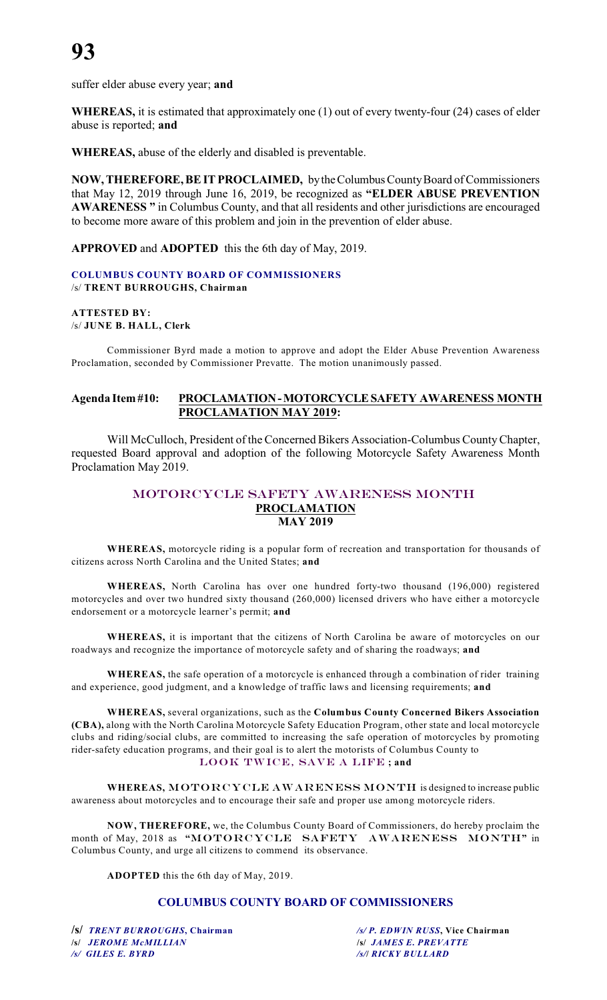suffer elder abuse every year; **and**

**WHEREAS,** it is estimated that approximately one (1) out of every twenty-four (24) cases of elder abuse is reported; **and**

**WHEREAS,** abuse of the elderly and disabled is preventable.

**NOW, THEREFORE, BE IT PROCLAIMED,** by the Columbus County Board of Commissioners that May 12, 2019 through June 16, 2019, be recognized as **"ELDER ABUSE PREVENTION AWARENESS "** in Columbus County, and that all residents and other jurisdictions are encouraged to become more aware of this problem and join in the prevention of elder abuse.

**APPROVED** and **ADOPTED** this the 6th day of May, 2019.

#### **COLUMBUS COUNTY BOARD OF COMMISSIONERS** /s/ **TRENT BURROUGHS, Chairman**

**ATTESTED BY:** /s/ **JUNE B. HALL, Clerk**

Commissioner Byrd made a motion to approve and adopt the Elder Abuse Prevention Awareness Proclamation, seconded by Commissioner Prevatte. The motion unanimously passed.

# **Agenda Item #10: PROCLAMATION - MOTORCYCLE SAFETY AWARENESS MONTH PROCLAMATION MAY 2019:**

Will McCulloch, President of the Concerned Bikers Association-Columbus County Chapter, requested Board approval and adoption of the following Motorcycle Safety Awareness Month Proclamation May 2019.

### MOTORCYCLE SAFETY AWARENESS MONTH **PROCLAMATION MAY 2019**

**WHEREAS,** motorcycle riding is a popular form of recreation and transportation for thousands of citizens across North Carolina and the United States; **and**

**WHEREAS,** North Carolina has over one hundred forty-two thousand (196,000) registered motorcycles and over two hundred sixty thousand (260,000) licensed drivers who have either a motorcycle endorsement or a motorcycle learner's permit; **and**

**WHEREAS,** it is important that the citizens of North Carolina be aware of motorcycles on our roadways and recognize the importance of motorcycle safety and of sharing the roadways; **and**

**WHEREAS,** the safe operation of a motorcycle is enhanced through a combination of rider training and experience, good judgment, and a knowledge of traffic laws and licensing requirements; **and**

**WHEREAS,** several organizations, such as the **Columbus County Concerned Bikers Association (CBA),** along with the North Carolina Motorcycle Safety Education Program, other state and local motorcycle clubs and riding/social clubs, are committed to increasing the safe operation of motorcycles by promoting rider-safety education programs, and their goal is to alert the motorists of Columbus County to LOOK TWICE, SAVE A LIFE **; and**

WHEREAS, MOTORCYCLE AWARENESS MONTH is designed to increase public awareness about motorcycles and to encourage their safe and proper use among motorcycle riders.

**NOW, THEREFORE,** we, the Columbus County Board of Commissioners, do hereby proclaim the month of May, 2018 as **"**MOTORCYCLE SAFETY AWARENESS MONTH**"** in Columbus County, and urge all citizens to commend its observance.

**ADOPTED** this the 6th day of May, 2019.

# **COLUMBUS COUNTY BOARD OF COMMISSIONERS**

**/s/** *TRENT BURROUGHS***, Chairman** */s/ P. EDWIN RUSS***, Vice Chairman /s/** *JEROME McMILLIAN* **/s/** *JAMES E. PREVATTE /s/ GILES E. BYRD**/s/***/** *RICKY BULLARD*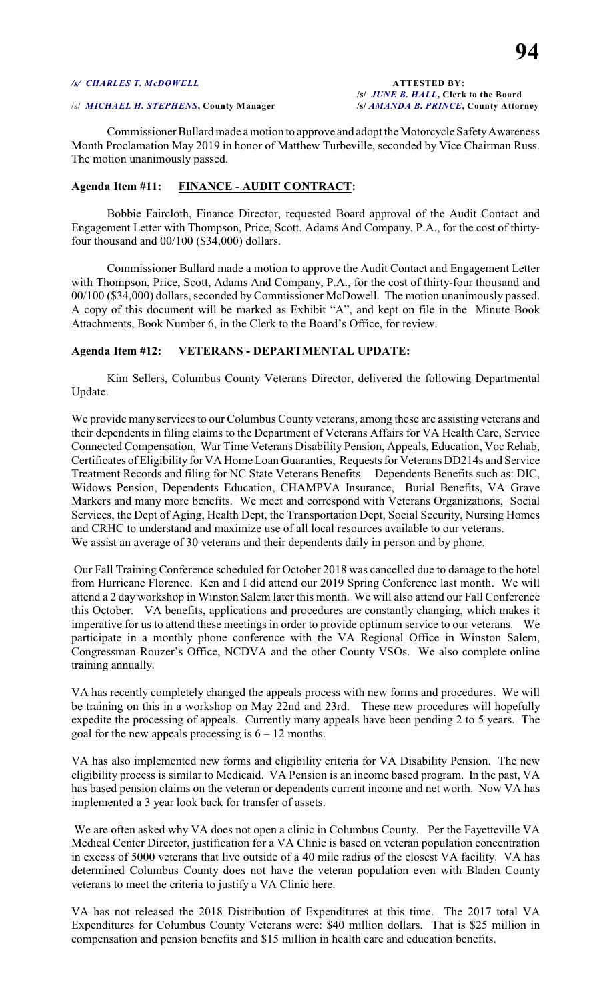#### */s/ CHARLES T. McDOWELL* **ATTESTED BY:**

**/s/** *JUNE B. HALL***, Clerk to the Board**

#### /s/ *MICHAEL H. STEPHENS***, County Manager /s/** *AMANDA B. PRINCE***, County Attorney**

Commissioner Bullard made a motion to approve and adopt the Motorcycle Safety Awareness Month Proclamation May 2019 in honor of Matthew Turbeville, seconded by Vice Chairman Russ. The motion unanimously passed.

#### **Agenda Item #11: FINANCE - AUDIT CONTRACT:**

Bobbie Faircloth, Finance Director, requested Board approval of the Audit Contact and Engagement Letter with Thompson, Price, Scott, Adams And Company, P.A., for the cost of thirtyfour thousand and 00/100 (\$34,000) dollars.

Commissioner Bullard made a motion to approve the Audit Contact and Engagement Letter with Thompson, Price, Scott, Adams And Company, P.A., for the cost of thirty-four thousand and 00/100 (\$34,000) dollars, seconded by Commissioner McDowell. The motion unanimously passed. A copy of this document will be marked as Exhibit "A", and kept on file in the Minute Book Attachments, Book Number 6, in the Clerk to the Board's Office, for review.

#### **Agenda Item #12: VETERANS - DEPARTMENTAL UPDATE:**

Kim Sellers, Columbus County Veterans Director, delivered the following Departmental Update.

We provide many services to our Columbus County veterans, among these are assisting veterans and their dependents in filing claims to the Department of Veterans Affairs for VA Health Care, Service Connected Compensation, War Time Veterans Disability Pension, Appeals, Education, Voc Rehab, Certificates of Eligibility for VA Home Loan Guaranties, Requests for Veterans DD214s and Service Treatment Records and filing for NC State Veterans Benefits. Dependents Benefits such as: DIC, Widows Pension, Dependents Education, CHAMPVA Insurance, Burial Benefits, VA Grave Markers and many more benefits. We meet and correspond with Veterans Organizations, Social Services, the Dept of Aging, Health Dept, the Transportation Dept, Social Security, Nursing Homes and CRHC to understand and maximize use of all local resources available to our veterans. We assist an average of 30 veterans and their dependents daily in person and by phone.

 Our Fall Training Conference scheduled for October 2018 was cancelled due to damage to the hotel from Hurricane Florence. Ken and I did attend our 2019 Spring Conference last month. We will attend a 2 day workshop in Winston Salem later this month. We will also attend our Fall Conference this October. VA benefits, applications and procedures are constantly changing, which makes it imperative for us to attend these meetings in order to provide optimum service to our veterans. We participate in a monthly phone conference with the VA Regional Office in Winston Salem, Congressman Rouzer's Office, NCDVA and the other County VSOs. We also complete online training annually.

VA has recently completely changed the appeals process with new forms and procedures. We will be training on this in a workshop on May 22nd and 23rd. These new procedures will hopefully expedite the processing of appeals. Currently many appeals have been pending 2 to 5 years. The goal for the new appeals processing is  $6 - 12$  months.

VA has also implemented new forms and eligibility criteria for VA Disability Pension. The new eligibility process is similar to Medicaid. VA Pension is an income based program. In the past, VA has based pension claims on the veteran or dependents current income and net worth. Now VA has implemented a 3 year look back for transfer of assets.

 We are often asked why VA does not open a clinic in Columbus County. Per the Fayetteville VA Medical Center Director, justification for a VA Clinic is based on veteran population concentration in excess of 5000 veterans that live outside of a 40 mile radius of the closest VA facility. VA has determined Columbus County does not have the veteran population even with Bladen County veterans to meet the criteria to justify a VA Clinic here.

VA has not released the 2018 Distribution of Expenditures at this time. The 2017 total VA Expenditures for Columbus County Veterans were: \$40 million dollars. That is \$25 million in compensation and pension benefits and \$15 million in health care and education benefits.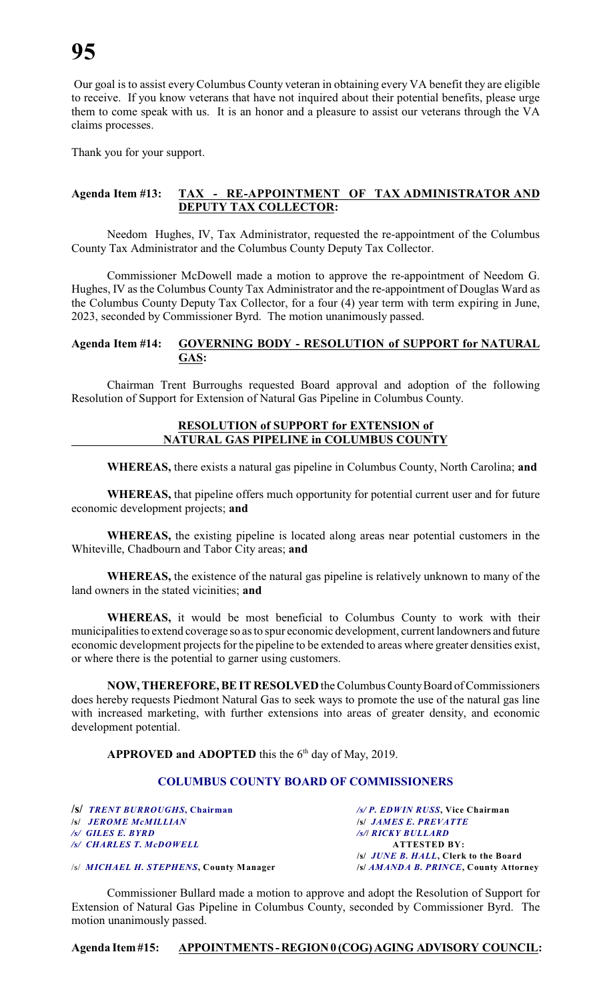Our goal is to assist everyColumbus County veteran in obtaining every VA benefit they are eligible to receive. If you know veterans that have not inquired about their potential benefits, please urge them to come speak with us. It is an honor and a pleasure to assist our veterans through the VA claims processes.

Thank you for your support.

# **Agenda Item #13: TAX - RE-APPOINTMENT OF TAX ADMINISTRATOR AND DEPUTY TAX COLLECTOR:**

Needom Hughes, IV, Tax Administrator, requested the re-appointment of the Columbus County Tax Administrator and the Columbus County Deputy Tax Collector.

Commissioner McDowell made a motion to approve the re-appointment of Needom G. Hughes, IV as the Columbus County Tax Administrator and the re-appointment of Douglas Ward as the Columbus County Deputy Tax Collector, for a four (4) year term with term expiring in June, 2023, seconded by Commissioner Byrd. The motion unanimously passed.

# **Agenda Item #14: GOVERNING BODY - RESOLUTION of SUPPORT for NATURAL GAS:**

Chairman Trent Burroughs requested Board approval and adoption of the following Resolution of Support for Extension of Natural Gas Pipeline in Columbus County.

# **RESOLUTION of SUPPORT for EXTENSION of NATURAL GAS PIPELINE in COLUMBUS COUNTY**

**WHEREAS,** there exists a natural gas pipeline in Columbus County, North Carolina; **and**

**WHEREAS,** that pipeline offers much opportunity for potential current user and for future economic development projects; **and**

**WHEREAS,** the existing pipeline is located along areas near potential customers in the Whiteville, Chadbourn and Tabor City areas; **and**

**WHEREAS,** the existence of the natural gas pipeline is relatively unknown to many of the land owners in the stated vicinities; **and**

**WHEREAS,** it would be most beneficial to Columbus County to work with their municipalities to extend coverage so as to spur economic development, current landowners and future economic development projects for the pipeline to be extended to areas where greater densities exist, or where there is the potential to garner using customers.

**NOW, THEREFORE, BE IT RESOLVED** the Columbus County Board of Commissioners does hereby requests Piedmont Natural Gas to seek ways to promote the use of the natural gas line with increased marketing, with further extensions into areas of greater density, and economic development potential.

# **APPROVED and ADOPTED** this the  $6<sup>th</sup>$  day of May, 2019.

# **COLUMBUS COUNTY BOARD OF COMMISSIONERS**

**/s/** *TRENT BURROUGHS***, Chairman** */s/ P. EDWIN RUSS***, Vice Chairman** */s/ JEROME McMILLIAN /s/ GILES E. BYRD**/s/***/** *RICKY BULLARD /s/ CHARLES T. McDOWELL* **ATTESTED BY:**

**/s/** *JUNE B. HALL***, Clerk to the Board**

/s/ *MICHAEL H. STEPHENS***, County Manager /s/** *AMANDA B. PRINCE***, County Attorney**

Commissioner Bullard made a motion to approve and adopt the Resolution of Support for Extension of Natural Gas Pipeline in Columbus County, seconded by Commissioner Byrd. The motion unanimously passed.

**Agenda Item #15: APPOINTMENTS - REGION 0 (COG) AGING ADVISORY COUNCIL:**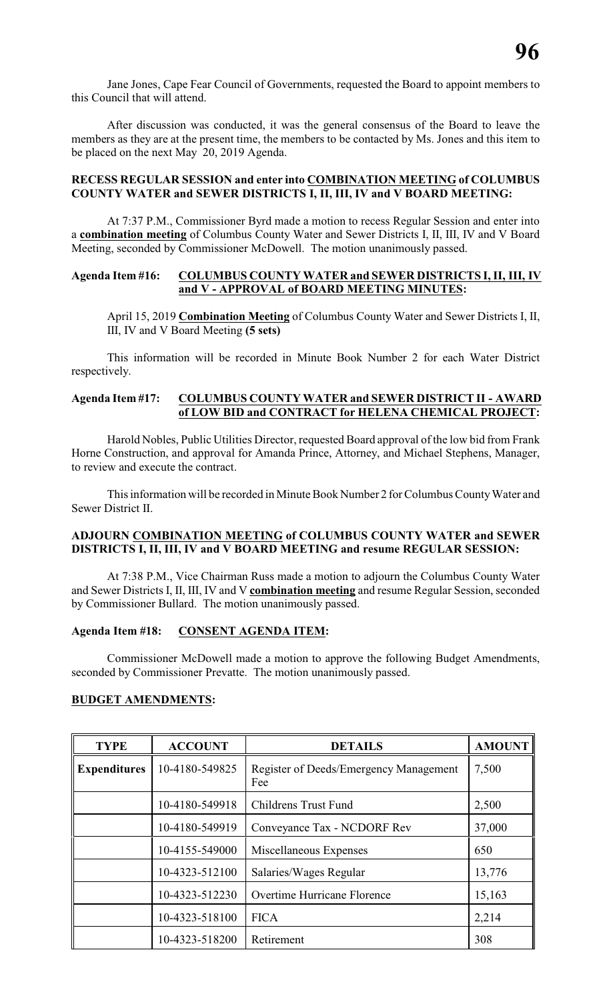Jane Jones, Cape Fear Council of Governments, requested the Board to appoint members to this Council that will attend.

After discussion was conducted, it was the general consensus of the Board to leave the members as they are at the present time, the members to be contacted by Ms. Jones and this item to be placed on the next May 20, 2019 Agenda.

# **RECESS REGULAR SESSION and enter into COMBINATION MEETING of COLUMBUS COUNTY WATER and SEWER DISTRICTS I, II, III, IV and V BOARD MEETING:**

At 7:37 P.M., Commissioner Byrd made a motion to recess Regular Session and enter into a **combination meeting** of Columbus County Water and Sewer Districts I, II, III, IV and V Board Meeting, seconded by Commissioner McDowell. The motion unanimously passed.

### **Agenda Item #16: COLUMBUS COUNTY WATER and SEWER DISTRICTS I,II, III, IV and V - APPROVAL of BOARD MEETING MINUTES:**

April 15, 2019 **Combination Meeting** of Columbus County Water and Sewer Districts I, II, III, IV and V Board Meeting **(5 sets)**

This information will be recorded in Minute Book Number 2 for each Water District respectively.

# **Agenda Item #17: COLUMBUS COUNTY WATER and SEWER DISTRICT II - AWARD of LOW BID and CONTRACT for HELENA CHEMICAL PROJECT:**

Harold Nobles, Public Utilities Director, requested Board approval of the low bid from Frank Horne Construction, and approval for Amanda Prince, Attorney, and Michael Stephens, Manager, to review and execute the contract.

This information will be recorded in Minute Book Number 2 for Columbus County Water and Sewer District II.

### **ADJOURN COMBINATION MEETING of COLUMBUS COUNTY WATER and SEWER DISTRICTS I, II, III, IV and V BOARD MEETING and resume REGULAR SESSION:**

At 7:38 P.M., Vice Chairman Russ made a motion to adjourn the Columbus County Water and Sewer Districts I, II, III, IV and V **combination meeting** and resume Regular Session, seconded by Commissioner Bullard. The motion unanimously passed.

# **Agenda Item #18: CONSENT AGENDA ITEM:**

Commissioner McDowell made a motion to approve the following Budget Amendments, seconded by Commissioner Prevatte. The motion unanimously passed.

#### **BUDGET AMENDMENTS:**

| <b>TYPE</b>         | <b>ACCOUNT</b> | <b>DETAILS</b>                                | <b>AMOUNT</b> |
|---------------------|----------------|-----------------------------------------------|---------------|
| <b>Expenditures</b> | 10-4180-549825 | Register of Deeds/Emergency Management<br>Fee | 7,500         |
|                     | 10-4180-549918 | Childrens Trust Fund                          | 2,500         |
|                     | 10-4180-549919 | Conveyance Tax - NCDORF Rev                   | 37,000        |
|                     | 10-4155-549000 | Miscellaneous Expenses                        | 650           |
|                     | 10-4323-512100 | Salaries/Wages Regular                        | 13,776        |
|                     | 10-4323-512230 | Overtime Hurricane Florence                   | 15,163        |
|                     | 10-4323-518100 | <b>FICA</b>                                   | 2,214         |
|                     | 10-4323-518200 | Retirement                                    | 308           |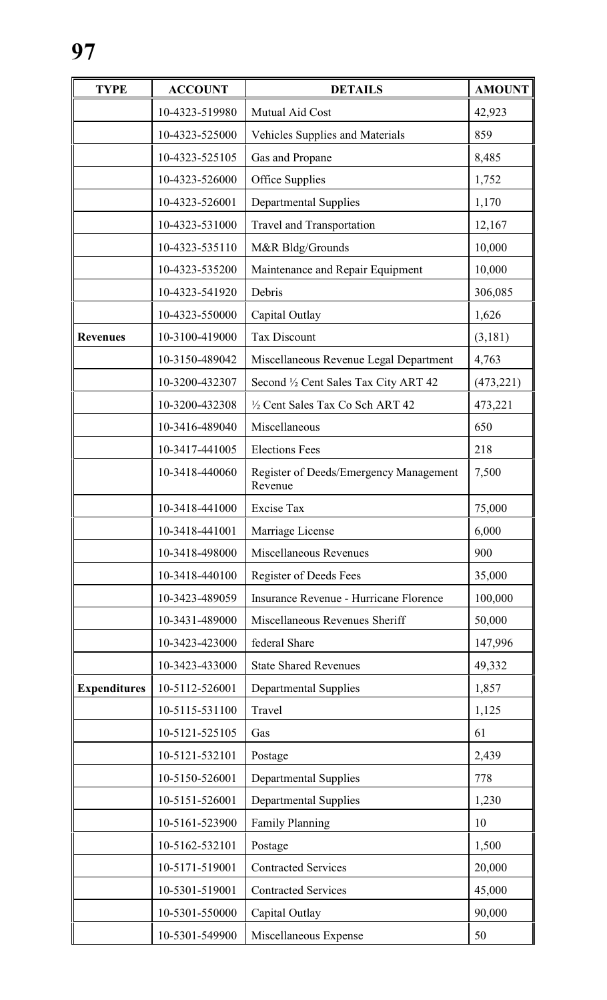| <b>TYPE</b>         | <b>ACCOUNT</b> | <b>DETAILS</b>                                    | <b>AMOUNT</b> |
|---------------------|----------------|---------------------------------------------------|---------------|
|                     | 10-4323-519980 | Mutual Aid Cost                                   | 42,923        |
|                     | 10-4323-525000 | <b>Vehicles Supplies and Materials</b>            | 859           |
|                     | 10-4323-525105 | Gas and Propane                                   | 8,485         |
|                     | 10-4323-526000 | Office Supplies                                   | 1,752         |
|                     | 10-4323-526001 | <b>Departmental Supplies</b>                      | 1,170         |
|                     | 10-4323-531000 | Travel and Transportation                         | 12,167        |
|                     | 10-4323-535110 | M&R Bldg/Grounds                                  | 10,000        |
|                     | 10-4323-535200 | Maintenance and Repair Equipment                  | 10,000        |
|                     | 10-4323-541920 | Debris                                            | 306,085       |
|                     | 10-4323-550000 | Capital Outlay                                    | 1,626         |
| <b>Revenues</b>     | 10-3100-419000 | <b>Tax Discount</b>                               | (3,181)       |
|                     | 10-3150-489042 | Miscellaneous Revenue Legal Department            | 4,763         |
|                     | 10-3200-432307 | Second 1/2 Cent Sales Tax City ART 42             | (473, 221)    |
|                     | 10-3200-432308 | 1/2 Cent Sales Tax Co Sch ART 42                  | 473,221       |
|                     | 10-3416-489040 | Miscellaneous                                     | 650           |
|                     | 10-3417-441005 | <b>Elections Fees</b>                             | 218           |
|                     | 10-3418-440060 | Register of Deeds/Emergency Management<br>Revenue | 7,500         |
|                     | 10-3418-441000 | <b>Excise Tax</b>                                 | 75,000        |
|                     | 10-3418-441001 | Marriage License                                  | 6,000         |
|                     | 10-3418-498000 | <b>Miscellaneous Revenues</b>                     | 900           |
|                     | 10-3418-440100 | <b>Register of Deeds Fees</b>                     | 35,000        |
|                     | 10-3423-489059 | Insurance Revenue - Hurricane Florence            | 100,000       |
|                     | 10-3431-489000 | Miscellaneous Revenues Sheriff                    | 50,000        |
|                     | 10-3423-423000 | federal Share                                     | 147,996       |
|                     | 10-3423-433000 | <b>State Shared Revenues</b>                      | 49,332        |
| <b>Expenditures</b> | 10-5112-526001 | <b>Departmental Supplies</b>                      | 1,857         |
|                     | 10-5115-531100 | Travel                                            | 1,125         |
|                     | 10-5121-525105 | Gas                                               | 61            |
|                     | 10-5121-532101 | Postage                                           | 2,439         |
|                     | 10-5150-526001 | <b>Departmental Supplies</b>                      | 778           |
|                     | 10-5151-526001 | <b>Departmental Supplies</b>                      | 1,230         |
|                     | 10-5161-523900 | Family Planning                                   | 10            |
|                     | 10-5162-532101 | Postage                                           | 1,500         |
|                     | 10-5171-519001 | <b>Contracted Services</b>                        | 20,000        |
|                     | 10-5301-519001 | <b>Contracted Services</b>                        | 45,000        |
|                     | 10-5301-550000 | Capital Outlay                                    | 90,000        |
|                     | 10-5301-549900 | Miscellaneous Expense                             | 50            |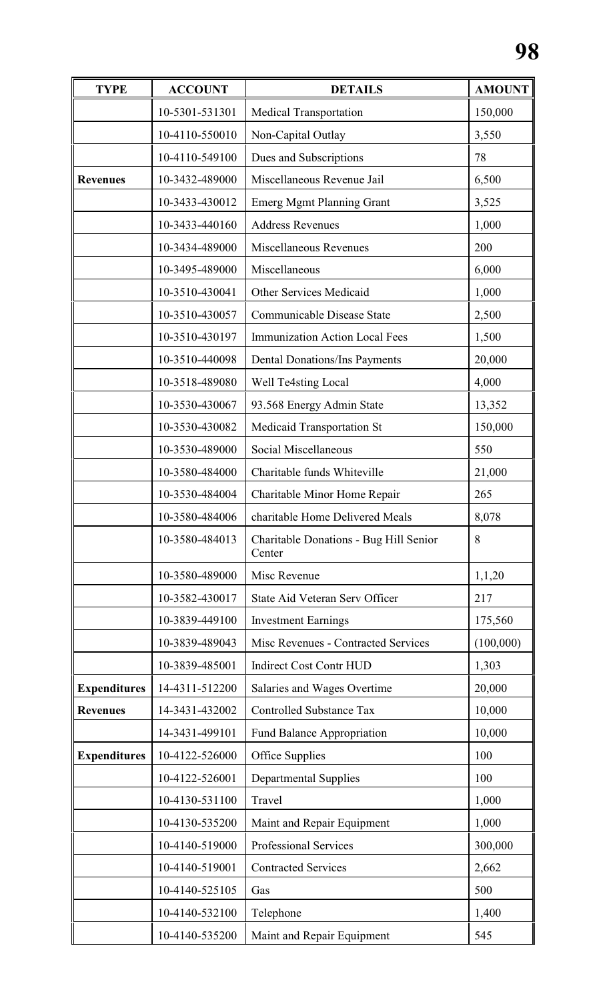| <b>TYPE</b>         | <b>ACCOUNT</b> | <b>DETAILS</b>                                   | <b>AMOUNT</b> |
|---------------------|----------------|--------------------------------------------------|---------------|
|                     | 10-5301-531301 | <b>Medical Transportation</b>                    | 150,000       |
|                     | 10-4110-550010 | Non-Capital Outlay                               | 3,550         |
|                     | 10-4110-549100 | Dues and Subscriptions                           | 78            |
| <b>Revenues</b>     | 10-3432-489000 | Miscellaneous Revenue Jail                       | 6,500         |
|                     | 10-3433-430012 | <b>Emerg Mgmt Planning Grant</b>                 | 3,525         |
|                     | 10-3433-440160 | <b>Address Revenues</b>                          | 1,000         |
|                     | 10-3434-489000 | Miscellaneous Revenues                           | 200           |
|                     | 10-3495-489000 | Miscellaneous                                    | 6,000         |
|                     | 10-3510-430041 | Other Services Medicaid                          | 1,000         |
|                     | 10-3510-430057 | Communicable Disease State                       | 2,500         |
|                     | 10-3510-430197 | <b>Immunization Action Local Fees</b>            | 1,500         |
|                     | 10-3510-440098 | <b>Dental Donations/Ins Payments</b>             | 20,000        |
|                     | 10-3518-489080 | Well Te4sting Local                              | 4,000         |
|                     | 10-3530-430067 | 93.568 Energy Admin State                        | 13,352        |
|                     | 10-3530-430082 | Medicaid Transportation St                       | 150,000       |
|                     | 10-3530-489000 | Social Miscellaneous                             | 550           |
|                     | 10-3580-484000 | Charitable funds Whiteville                      | 21,000        |
|                     | 10-3530-484004 | Charitable Minor Home Repair                     | 265           |
|                     | 10-3580-484006 | charitable Home Delivered Meals                  | 8,078         |
|                     | 10-3580-484013 | Charitable Donations - Bug Hill Senior<br>Center | 8             |
|                     | 10-3580-489000 | Misc Revenue                                     | 1,1,20        |
|                     | 10-3582-430017 | State Aid Veteran Serv Officer                   | 217           |
|                     | 10-3839-449100 | <b>Investment Earnings</b>                       | 175,560       |
|                     | 10-3839-489043 | Misc Revenues - Contracted Services              | (100,000)     |
|                     | 10-3839-485001 | <b>Indirect Cost Contr HUD</b>                   | 1,303         |
| <b>Expenditures</b> | 14-4311-512200 | Salaries and Wages Overtime                      | 20,000        |
| <b>Revenues</b>     | 14-3431-432002 | <b>Controlled Substance Tax</b>                  | 10,000        |
|                     | 14-3431-499101 | Fund Balance Appropriation                       | 10,000        |
| <b>Expenditures</b> | 10-4122-526000 | Office Supplies                                  | 100           |
|                     | 10-4122-526001 | <b>Departmental Supplies</b>                     | 100           |
|                     | 10-4130-531100 | Travel                                           | 1,000         |
|                     | 10-4130-535200 | Maint and Repair Equipment                       | 1,000         |
|                     | 10-4140-519000 | Professional Services                            | 300,000       |
|                     | 10-4140-519001 | <b>Contracted Services</b>                       | 2,662         |
|                     | 10-4140-525105 | Gas                                              | 500           |
|                     | 10-4140-532100 | Telephone                                        | 1,400         |
|                     | 10-4140-535200 | Maint and Repair Equipment                       | 545           |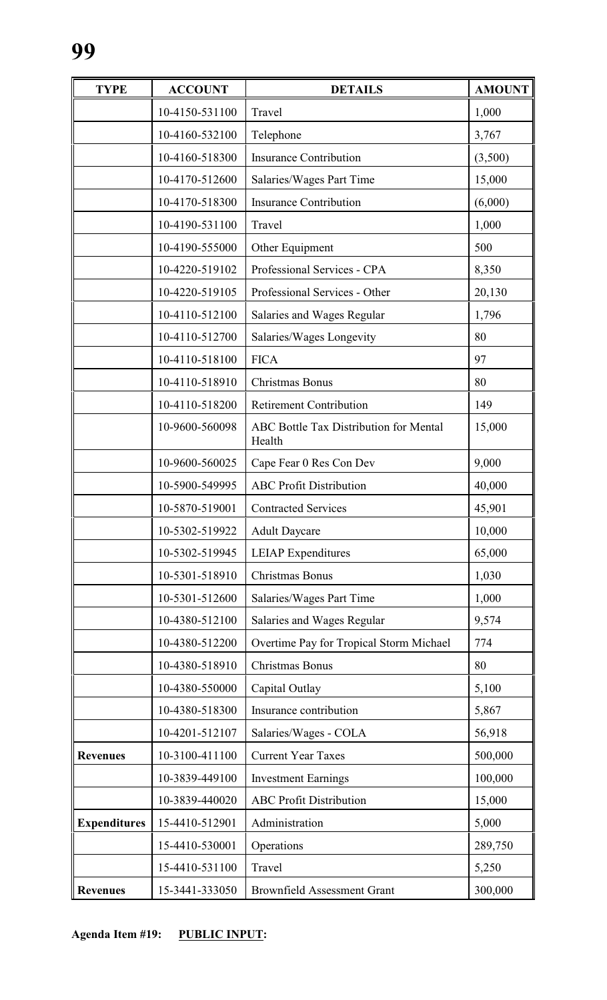| <b>TYPE</b>         | <b>ACCOUNT</b> | <b>DETAILS</b>                                          | <b>AMOUNT</b> |
|---------------------|----------------|---------------------------------------------------------|---------------|
|                     | 10-4150-531100 | Travel                                                  | 1,000         |
|                     | 10-4160-532100 | Telephone                                               | 3,767         |
|                     | 10-4160-518300 | <b>Insurance Contribution</b>                           | (3,500)       |
|                     | 10-4170-512600 | Salaries/Wages Part Time                                | 15,000        |
|                     | 10-4170-518300 | <b>Insurance Contribution</b>                           | (6,000)       |
|                     | 10-4190-531100 | Travel                                                  | 1,000         |
|                     | 10-4190-555000 | Other Equipment                                         | 500           |
|                     | 10-4220-519102 | Professional Services - CPA                             | 8,350         |
|                     | 10-4220-519105 | Professional Services - Other                           | 20,130        |
|                     | 10-4110-512100 | Salaries and Wages Regular                              | 1,796         |
|                     | 10-4110-512700 | Salaries/Wages Longevity                                | 80            |
|                     | 10-4110-518100 | <b>FICA</b>                                             | 97            |
|                     | 10-4110-518910 | Christmas Bonus                                         | 80            |
|                     | 10-4110-518200 | <b>Retirement Contribution</b>                          | 149           |
|                     | 10-9600-560098 | <b>ABC Bottle Tax Distribution for Mental</b><br>Health | 15,000        |
|                     | 10-9600-560025 | Cape Fear 0 Res Con Dev                                 | 9,000         |
|                     | 10-5900-549995 | <b>ABC Profit Distribution</b>                          | 40,000        |
|                     | 10-5870-519001 | <b>Contracted Services</b>                              | 45,901        |
|                     | 10-5302-519922 | <b>Adult Daycare</b>                                    | 10,000        |
|                     | 10-5302-519945 | <b>LEIAP</b> Expenditures                               | 65,000        |
|                     | 10-5301-518910 | Christmas Bonus                                         | 1,030         |
|                     | 10-5301-512600 | Salaries/Wages Part Time                                | 1,000         |
|                     | 10-4380-512100 | Salaries and Wages Regular                              | 9,574         |
|                     | 10-4380-512200 | Overtime Pay for Tropical Storm Michael                 | 774           |
|                     | 10-4380-518910 | Christmas Bonus                                         | 80            |
|                     | 10-4380-550000 | Capital Outlay                                          | 5,100         |
|                     | 10-4380-518300 | Insurance contribution                                  | 5,867         |
|                     | 10-4201-512107 | Salaries/Wages - COLA                                   | 56,918        |
| <b>Revenues</b>     | 10-3100-411100 | <b>Current Year Taxes</b>                               | 500,000       |
|                     | 10-3839-449100 | <b>Investment Earnings</b>                              | 100,000       |
|                     | 10-3839-440020 | <b>ABC Profit Distribution</b>                          | 15,000        |
| <b>Expenditures</b> | 15-4410-512901 | Administration                                          | 5,000         |
|                     | 15-4410-530001 | Operations                                              | 289,750       |
|                     | 15-4410-531100 | Travel                                                  | 5,250         |
| <b>Revenues</b>     | 15-3441-333050 | <b>Brownfield Assessment Grant</b>                      | 300,000       |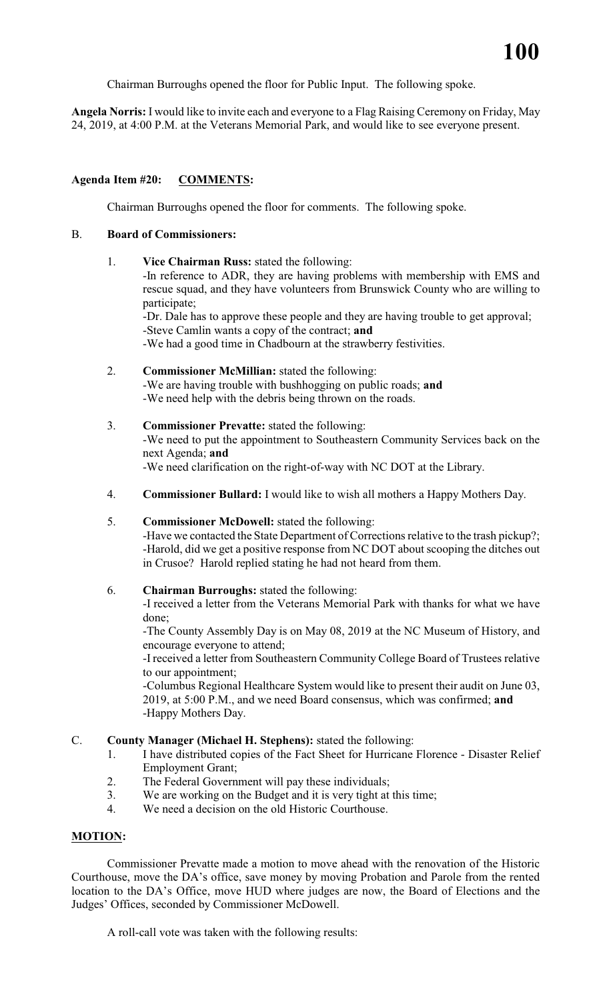Chairman Burroughs opened the floor for Public Input. The following spoke.

**Angela Norris:** I would like to invite each and everyone to a Flag Raising Ceremony on Friday, May 24, 2019, at 4:00 P.M. at the Veterans Memorial Park, and would like to see everyone present.

# **Agenda Item #20: COMMENTS:**

Chairman Burroughs opened the floor for comments. The following spoke.

#### B. **Board of Commissioners:**

1. **Vice Chairman Russ:** stated the following: -In reference to ADR, they are having problems with membership with EMS and rescue squad, and they have volunteers from Brunswick County who are willing to participate;

-Dr. Dale has to approve these people and they are having trouble to get approval; -Steve Camlin wants a copy of the contract; **and**

-We had a good time in Chadbourn at the strawberry festivities.

- 2. **Commissioner McMillian:** stated the following: -We are having trouble with bushhogging on public roads; **and** -We need help with the debris being thrown on the roads.
- 3. **Commissioner Prevatte:** stated the following: -We need to put the appointment to Southeastern Community Services back on the next Agenda; **and** -We need clarification on the right-of-way with NC DOT at the Library.
- 4. **Commissioner Bullard:** I would like to wish all mothers a Happy Mothers Day.

#### 5. **Commissioner McDowell:** stated the following:

-Have we contacted the State Department of Corrections relative to the trash pickup?; -Harold, did we get a positive response from NC DOT about scooping the ditches out in Crusoe? Harold replied stating he had not heard from them.

# 6. **Chairman Burroughs:** stated the following:

-I received a letter from the Veterans Memorial Park with thanks for what we have done;

-The County Assembly Day is on May 08, 2019 at the NC Museum of History, and encourage everyone to attend;

-I received a letter from Southeastern Community College Board of Trustees relative to our appointment;

-Columbus Regional Healthcare System would like to present their audit on June 03, 2019, at 5:00 P.M., and we need Board consensus, which was confirmed; **and** -Happy Mothers Day.

# C. **County Manager (Michael H. Stephens):** stated the following:

1. I have distributed copies of the Fact Sheet for Hurricane Florence - Disaster Relief Employment Grant;

- 2. The Federal Government will pay these individuals;
- 3. We are working on the Budget and it is very tight at this time;
- 4. We need a decision on the old Historic Courthouse.

# **MOTION:**

Commissioner Prevatte made a motion to move ahead with the renovation of the Historic Courthouse, move the DA's office, save money by moving Probation and Parole from the rented location to the DA's Office, move HUD where judges are now, the Board of Elections and the Judges' Offices, seconded by Commissioner McDowell.

A roll-call vote was taken with the following results: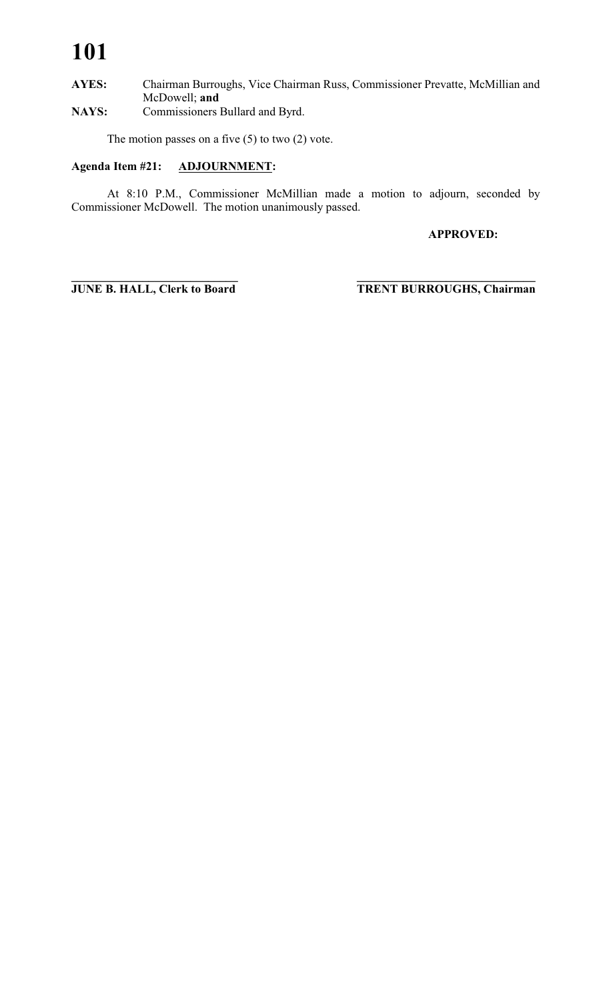# **101**

# **AYES:** Chairman Burroughs, Vice Chairman Russ, Commissioner Prevatte, McMillian and McDowell; **and**

**NAYS:** Commissioners Bullard and Byrd.

The motion passes on a five  $(5)$  to two  $(2)$  vote.

# **Agenda Item #21: ADJOURNMENT:**

At 8:10 P.M., Commissioner McMillian made a motion to adjourn, seconded by Commissioner McDowell. The motion unanimously passed.

**APPROVED:**

**\_\_\_\_\_\_\_\_\_\_\_\_\_\_\_\_\_\_\_\_\_\_\_\_\_\_\_\_ \_\_\_\_\_\_\_\_\_\_\_\_\_\_\_\_\_\_\_\_\_\_\_\_\_\_\_\_\_\_**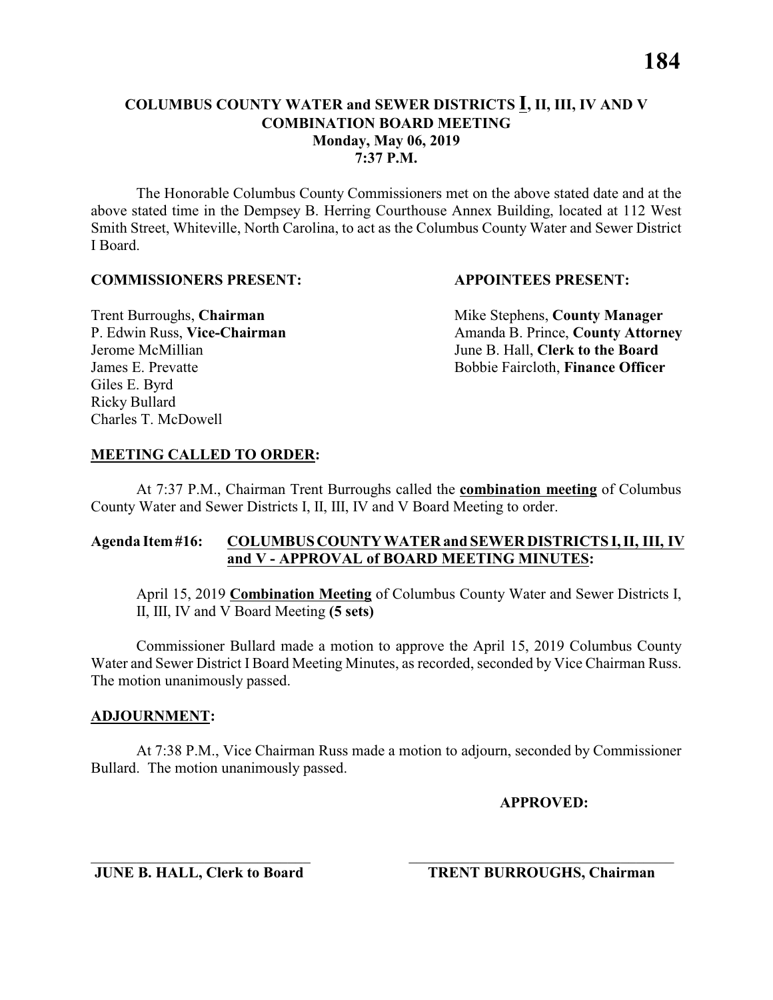The Honorable Columbus County Commissioners met on the above stated date and at the above stated time in the Dempsey B. Herring Courthouse Annex Building, located at 112 West Smith Street, Whiteville, North Carolina, to act as the Columbus County Water and Sewer District I Board.

#### **COMMISSIONERS PRESENT: APPOINTEES PRESENT:**

Giles E. Byrd Ricky Bullard Charles T. McDowell

**Trent Burroughs, Chairman** Mike Stephens, **County Manager** P. Edwin Russ, Vice-Chairman Amanda B. Prince, County Attorney Jerome McMillian June B. Hall, **Clerk to the Board** James E. Prevatte Bobbie Faircloth, **Finance Officer**

# **MEETING CALLED TO ORDER:**

At 7:37 P.M., Chairman Trent Burroughs called the **combination meeting** of Columbus County Water and Sewer Districts I, II, III, IV and V Board Meeting to order.

# **Agenda Item #16: COLUMBUS COUNTY WATER and SEWER DISTRICTS I, II, III, IV and V - APPROVAL of BOARD MEETING MINUTES:**

April 15, 2019 **Combination Meeting** of Columbus County Water and Sewer Districts I, II, III, IV and V Board Meeting **(5 sets)**

Commissioner Bullard made a motion to approve the April 15, 2019 Columbus County Water and Sewer District I Board Meeting Minutes, as recorded, seconded by Vice Chairman Russ. The motion unanimously passed.

# **ADJOURNMENT:**

At 7:38 P.M., Vice Chairman Russ made a motion to adjourn, seconded by Commissioner Bullard. The motion unanimously passed.

\_\_\_\_\_\_\_\_\_\_\_\_\_\_\_\_\_\_\_\_\_\_\_\_\_\_\_\_\_ \_\_\_\_\_\_\_\_\_\_\_\_\_\_\_\_\_\_\_\_\_\_\_\_\_\_\_\_\_\_\_\_\_\_\_

**APPROVED:**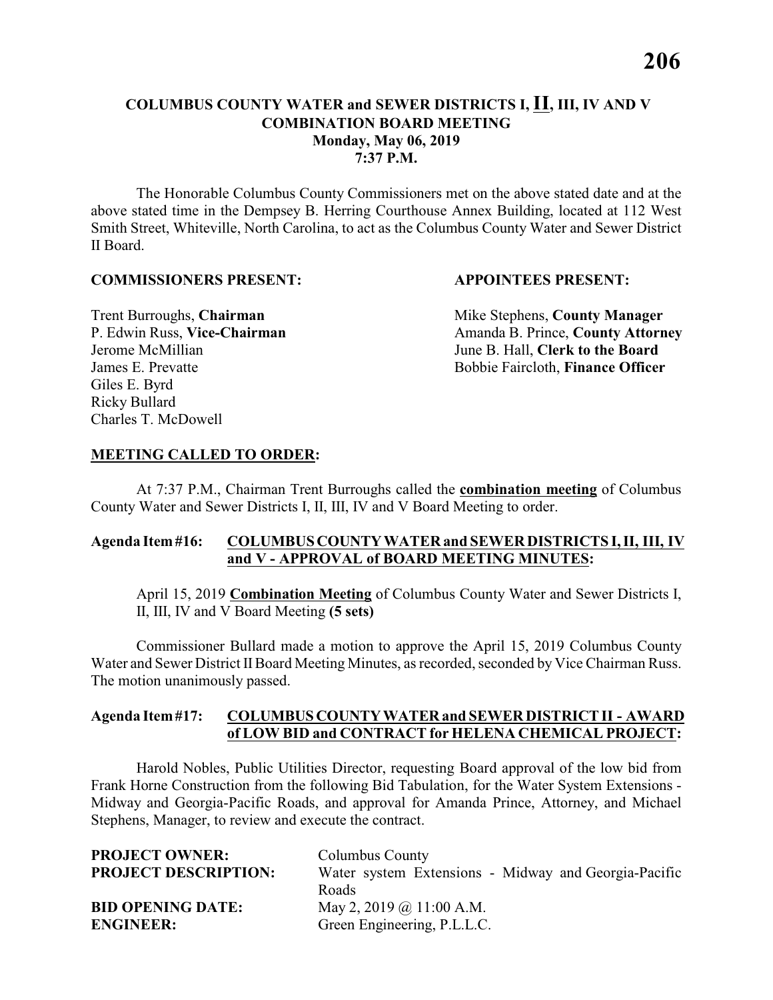The Honorable Columbus County Commissioners met on the above stated date and at the above stated time in the Dempsey B. Herring Courthouse Annex Building, located at 112 West Smith Street, Whiteville, North Carolina, to act as the Columbus County Water and Sewer District II Board.

#### **COMMISSIONERS PRESENT: APPOINTEES PRESENT:**

Giles E. Byrd Ricky Bullard Charles T. McDowell

**Trent Burroughs, Chairman** Mike Stephens, **County Manager** P. Edwin Russ, Vice-Chairman Amanda B. Prince, County Attorney Jerome McMillian June B. Hall, **Clerk to the Board** James E. Prevatte Bobbie Faircloth, **Finance Officer**

### **MEETING CALLED TO ORDER:**

At 7:37 P.M., Chairman Trent Burroughs called the **combination meeting** of Columbus County Water and Sewer Districts I, II, III, IV and V Board Meeting to order.

# **Agenda Item #16: COLUMBUS COUNTY WATER and SEWER DISTRICTS I, II, III, IV and V - APPROVAL of BOARD MEETING MINUTES:**

April 15, 2019 **Combination Meeting** of Columbus County Water and Sewer Districts I, II, III, IV and V Board Meeting **(5 sets)**

Commissioner Bullard made a motion to approve the April 15, 2019 Columbus County Water and Sewer District II Board Meeting Minutes, as recorded, seconded by Vice Chairman Russ. The motion unanimously passed.

#### **Agenda Item #17: COLUMBUS COUNTY WATER and SEWER DISTRICT II - AWARD of LOW BID and CONTRACT for HELENA CHEMICAL PROJECT:**

Harold Nobles, Public Utilities Director, requesting Board approval of the low bid from Frank Horne Construction from the following Bid Tabulation, for the Water System Extensions - Midway and Georgia-Pacific Roads, and approval for Amanda Prince, Attorney, and Michael Stephens, Manager, to review and execute the contract.

| <b>PROJECT OWNER:</b>       | Columbus County                                      |  |
|-----------------------------|------------------------------------------------------|--|
| <b>PROJECT DESCRIPTION:</b> | Water system Extensions - Midway and Georgia-Pacific |  |
|                             | Roads                                                |  |
| <b>BID OPENING DATE:</b>    | May 2, 2019 @ 11:00 A.M.                             |  |
| <b>ENGINEER:</b>            | Green Engineering, P.L.L.C.                          |  |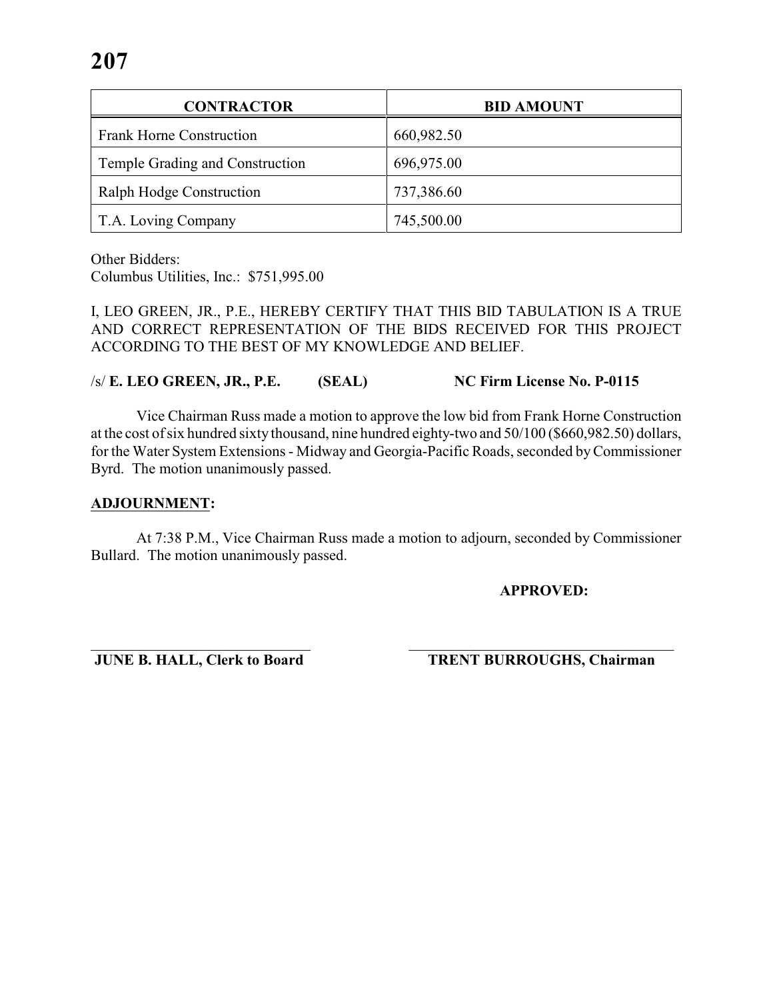| <b>CONTRACTOR</b>               | <b>BID AMOUNT</b> |
|---------------------------------|-------------------|
| <b>Frank Horne Construction</b> | 660,982.50        |
| Temple Grading and Construction | 696,975.00        |
| Ralph Hodge Construction        | 737,386.60        |
| T.A. Loving Company             | 745,500.00        |

Other Bidders:

Columbus Utilities, Inc.: \$751,995.00

I, LEO GREEN, JR., P.E., HEREBY CERTIFY THAT THIS BID TABULATION IS A TRUE AND CORRECT REPRESENTATION OF THE BIDS RECEIVED FOR THIS PROJECT ACCORDING TO THE BEST OF MY KNOWLEDGE AND BELIEF.

/s/ **E. LEO GREEN, JR., P.E. (SEAL) NC Firm License No. P-0115**

Vice Chairman Russ made a motion to approve the low bid from Frank Horne Construction at the cost of six hundred sixty thousand, nine hundred eighty-two and 50/100 (\$660,982.50) dollars, for the Water System Extensions - Midway and Georgia-Pacific Roads, seconded by Commissioner Byrd. The motion unanimously passed.

#### **ADJOURNMENT:**

At 7:38 P.M., Vice Chairman Russ made a motion to adjourn, seconded by Commissioner Bullard. The motion unanimously passed.

**APPROVED:**

\_\_\_\_\_\_\_\_\_\_\_\_\_\_\_\_\_\_\_\_\_\_\_\_\_\_\_\_\_ \_\_\_\_\_\_\_\_\_\_\_\_\_\_\_\_\_\_\_\_\_\_\_\_\_\_\_\_\_\_\_\_\_\_\_ **JUNE B. HALL, Clerk to Board TRENT BURROUGHS, Chairman**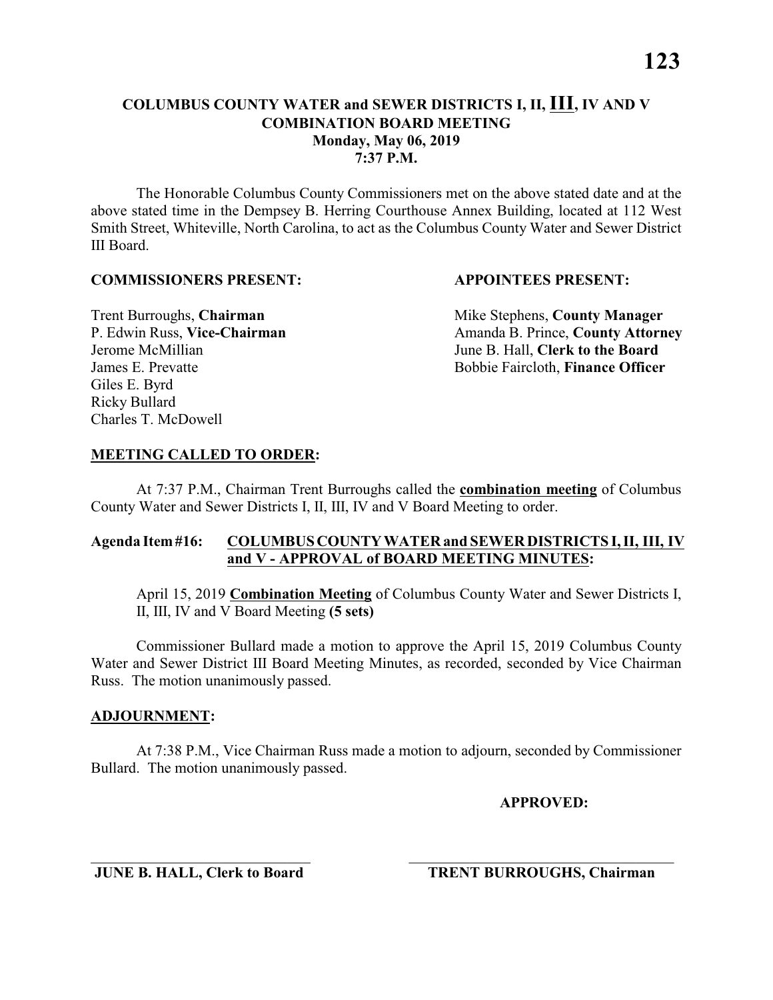#### **COMBINATION BOARD MEETING Monday, May 06, 2019**

**7:37 P.M.**

The Honorable Columbus County Commissioners met on the above stated date and at the above stated time in the Dempsey B. Herring Courthouse Annex Building, located at 112 West Smith Street, Whiteville, North Carolina, to act as the Columbus County Water and Sewer District III Board.

#### **COMMISSIONERS PRESENT: APPOINTEES PRESENT:**

Giles E. Byrd Ricky Bullard Charles T. McDowell

**Trent Burroughs, Chairman** Mike Stephens, **County Manager** P. Edwin Russ, Vice-Chairman Amanda B. Prince, County Attorney Jerome McMillian June B. Hall, **Clerk to the Board** James E. Prevatte Bobbie Faircloth, **Finance Officer**

# **MEETING CALLED TO ORDER:**

At 7:37 P.M., Chairman Trent Burroughs called the **combination meeting** of Columbus County Water and Sewer Districts I, II, III, IV and V Board Meeting to order.

# **Agenda Item #16: COLUMBUS COUNTY WATER and SEWER DISTRICTS I, II, III, IV and V - APPROVAL of BOARD MEETING MINUTES:**

April 15, 2019 **Combination Meeting** of Columbus County Water and Sewer Districts I, II, III, IV and V Board Meeting **(5 sets)**

Commissioner Bullard made a motion to approve the April 15, 2019 Columbus County Water and Sewer District III Board Meeting Minutes, as recorded, seconded by Vice Chairman Russ. The motion unanimously passed.

# **ADJOURNMENT:**

At 7:38 P.M., Vice Chairman Russ made a motion to adjourn, seconded by Commissioner Bullard. The motion unanimously passed.

\_\_\_\_\_\_\_\_\_\_\_\_\_\_\_\_\_\_\_\_\_\_\_\_\_\_\_\_\_ \_\_\_\_\_\_\_\_\_\_\_\_\_\_\_\_\_\_\_\_\_\_\_\_\_\_\_\_\_\_\_\_\_\_\_

**APPROVED:**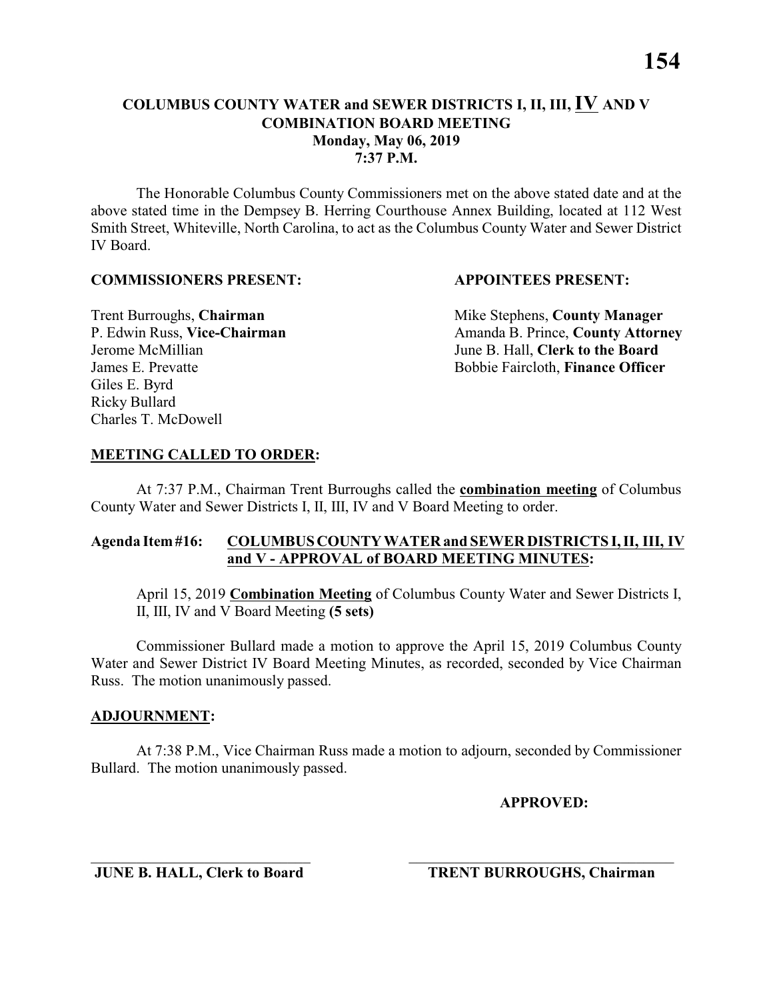The Honorable Columbus County Commissioners met on the above stated date and at the above stated time in the Dempsey B. Herring Courthouse Annex Building, located at 112 West Smith Street, Whiteville, North Carolina, to act as the Columbus County Water and Sewer District IV Board.

#### **COMMISSIONERS PRESENT: APPOINTEES PRESENT:**

Giles E. Byrd Ricky Bullard Charles T. McDowell

**Trent Burroughs, Chairman** Mike Stephens, **County Manager** P. Edwin Russ, Vice-Chairman Amanda B. Prince, County Attorney Jerome McMillian June B. Hall, **Clerk to the Board** James E. Prevatte Bobbie Faircloth, **Finance Officer**

# **MEETING CALLED TO ORDER:**

At 7:37 P.M., Chairman Trent Burroughs called the **combination meeting** of Columbus County Water and Sewer Districts I, II, III, IV and V Board Meeting to order.

# **Agenda Item #16: COLUMBUS COUNTY WATER and SEWER DISTRICTS I, II, III, IV and V - APPROVAL of BOARD MEETING MINUTES:**

April 15, 2019 **Combination Meeting** of Columbus County Water and Sewer Districts I, II, III, IV and V Board Meeting **(5 sets)**

Commissioner Bullard made a motion to approve the April 15, 2019 Columbus County Water and Sewer District IV Board Meeting Minutes, as recorded, seconded by Vice Chairman Russ. The motion unanimously passed.

# **ADJOURNMENT:**

At 7:38 P.M., Vice Chairman Russ made a motion to adjourn, seconded by Commissioner Bullard. The motion unanimously passed.

\_\_\_\_\_\_\_\_\_\_\_\_\_\_\_\_\_\_\_\_\_\_\_\_\_\_\_\_\_ \_\_\_\_\_\_\_\_\_\_\_\_\_\_\_\_\_\_\_\_\_\_\_\_\_\_\_\_\_\_\_\_\_\_\_

**APPROVED:**